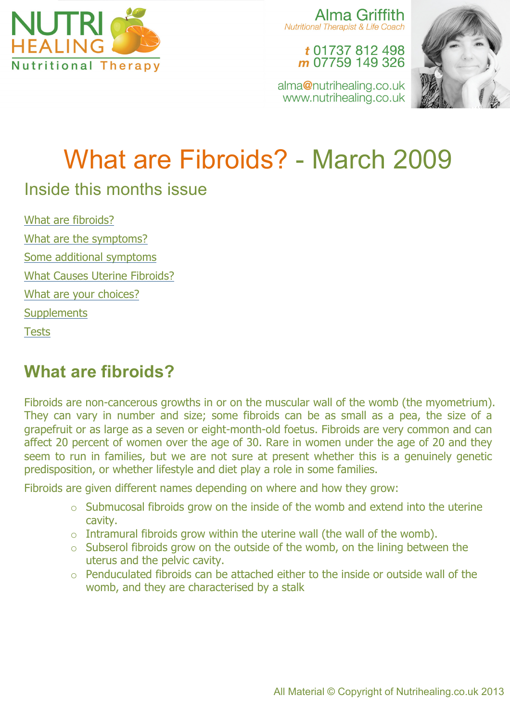

Alma Griffith Nutritional Therapist & Life Coach

## t 01737 812 498 m 07759 149 326

alma@nutrihealing.co.uk www.nutrihealing.co.uk



# What are Fibroids? - March 2009

## Inside this months issue

What are fibroids? What are the symptoms? Some additional symptoms What Causes Uterine Fibroids? What are your choices? **Supplements Tests** 

# **What are fibroids?**

Fibroids are non-cancerous growths in or on the muscular wall of the womb (the myometrium). They can vary in number and size; some fibroids can be as small as a pea, the size of a grapefruit or as large as a seven or eight-month-old foetus. Fibroids are very common and can affect 20 percent of women over the age of 30. Rare in women under the age of 20 and they seem to run in families, but we are not sure at present whether this is a genuinely genetic predisposition, or whether lifestyle and diet play a role in some families.

Fibroids are given different names depending on where and how they grow:

- $\circ$  Submucosal fibroids grow on the inside of the womb and extend into the uterine cavity.
- $\circ$  Intramural fibroids grow within the uterine wall (the wall of the womb).
- o Subserol fibroids grow on the outside of the womb, on the lining between the uterus and the pelvic cavity.
- o Penduculated fibroids can be attached either to the inside or outside wall of the womb, and they are characterised by a stalk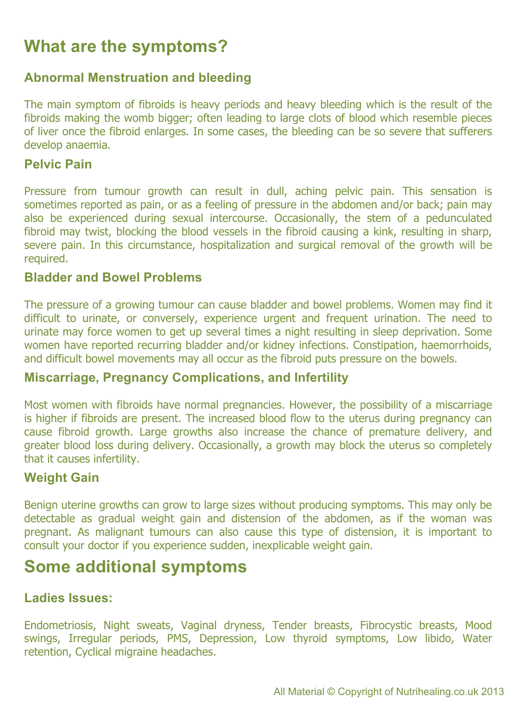# **What are the symptoms?**

## **Abnormal Menstruation and bleeding**

The main symptom of fibroids is heavy periods and heavy bleeding which is the result of the fibroids making the womb bigger; often leading to large clots of blood which resemble pieces of liver once the fibroid enlarges. In some cases, the bleeding can be so severe that sufferers develop anaemia.

## **Pelvic Pain**

Pressure from tumour growth can result in dull, aching pelvic pain. This sensation is sometimes reported as pain, or as a feeling of pressure in the abdomen and/or back; pain may also be experienced during sexual intercourse. Occasionally, the stem of a pedunculated fibroid may twist, blocking the blood vessels in the fibroid causing a kink, resulting in sharp, severe pain. In this circumstance, hospitalization and surgical removal of the growth will be required.

#### **Bladder and Bowel Problems**

The pressure of a growing tumour can cause bladder and bowel problems. Women may find it difficult to urinate, or conversely, experience urgent and frequent urination. The need to urinate may force women to get up several times a night resulting in sleep deprivation. Some women have reported recurring bladder and/or kidney infections. Constipation, haemorrhoids, and difficult bowel movements may all occur as the fibroid puts pressure on the bowels.

#### **Miscarriage, Pregnancy Complications, and Infertility**

Most women with fibroids have normal pregnancies. However, the possibility of a miscarriage is higher if fibroids are present. The increased blood flow to the uterus during pregnancy can cause fibroid growth. Large growths also increase the chance of premature delivery, and greater blood loss during delivery. Occasionally, a growth may block the uterus so completely that it causes infertility.

#### **Weight Gain**

Benign uterine growths can grow to large sizes without producing symptoms. This may only be detectable as gradual weight gain and distension of the abdomen, as if the woman was pregnant. As malignant tumours can also cause this type of distension, it is important to consult your doctor if you experience sudden, inexplicable weight gain.

## **Some additional symptoms**

#### **Ladies Issues:**

Endometriosis, Night sweats, Vaginal dryness, Tender breasts, Fibrocystic breasts, Mood swings, Irregular periods, PMS, Depression, Low thyroid symptoms, Low libido, Water retention, Cyclical migraine headaches.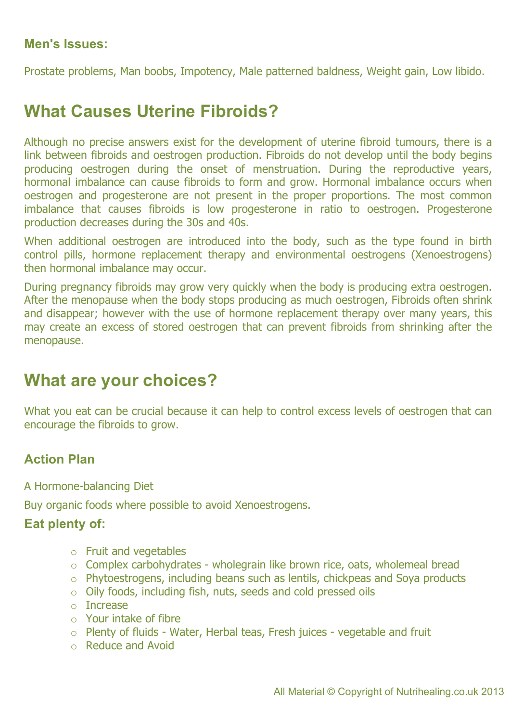## **Men's Issues:**

Prostate problems, Man boobs, Impotency, Male patterned baldness, Weight gain, Low libido.

## **What Causes Uterine Fibroids?**

Although no precise answers exist for the development of uterine fibroid tumours, there is a link between fibroids and oestrogen production. Fibroids do not develop until the body begins producing oestrogen during the onset of menstruation. During the reproductive years, hormonal imbalance can cause fibroids to form and grow. Hormonal imbalance occurs when oestrogen and progesterone are not present in the proper proportions. The most common imbalance that causes fibroids is low progesterone in ratio to oestrogen. Progesterone production decreases during the 30s and 40s.

When additional oestrogen are introduced into the body, such as the type found in birth control pills, hormone replacement therapy and environmental oestrogens (Xenoestrogens) then hormonal imbalance may occur.

During pregnancy fibroids may grow very quickly when the body is producing extra oestrogen. After the menopause when the body stops producing as much oestrogen, Fibroids often shrink and disappear; however with the use of hormone replacement therapy over many years, this may create an excess of stored oestrogen that can prevent fibroids from shrinking after the menopause.

## **What are your choices?**

What you eat can be crucial because it can help to control excess levels of oestrogen that can encourage the fibroids to grow.

## **Action Plan**

A Hormone-balancing Diet

Buy organic foods where possible to avoid Xenoestrogens.

#### **Eat plenty of:**

- o Fruit and vegetables
- o Complex carbohydrates wholegrain like brown rice, oats, wholemeal bread
- o Phytoestrogens, including beans such as lentils, chickpeas and Soya products
- o Oily foods, including fish, nuts, seeds and cold pressed oils
- o Increase
- $\circ$  Your intake of fibre
- o Plenty of fluids Water, Herbal teas, Fresh juices vegetable and fruit
- o Reduce and Avoid